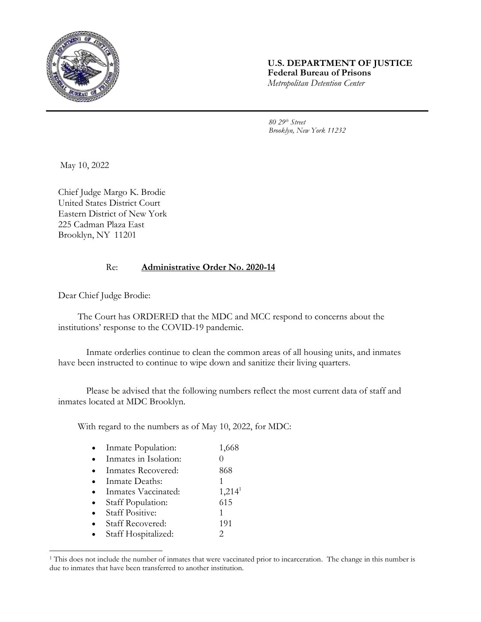

## **U.S. DEPARTMENT OF JUSTICE Federal Bureau of Prisons** *Metropolitan Detention Center*

*80 29th Street Brooklyn, New York 11232*

May 10, 2022

Chief Judge Margo K. Brodie United States District Court Eastern District of New York 225 Cadman Plaza East Brooklyn, NY 11201

## Re: **Administrative Order No. 2020-14**

Dear Chief Judge Brodie:

The Court has ORDERED that the MDC and MCC respond to concerns about the institutions' response to the COVID-19 pandemic.

Inmate orderlies continue to clean the common areas of all housing units, and inmates have been instructed to continue to wipe down and sanitize their living quarters.

Please be advised that the following numbers reflect the most current data of staff and inmates located at MDC Brooklyn.

With regard to the numbers as of May 10, 2022, for MDC:

| Inmate Population:      | 1,668              |
|-------------------------|--------------------|
| Inmates in Isolation:   |                    |
| Inmates Recovered:      | 868                |
| Inmate Deaths:          |                    |
| Inmates Vaccinated:     | 1,214 <sup>1</sup> |
| Staff Population:       | 615                |
| <b>Staff Positive:</b>  | 1                  |
| <b>Staff Recovered:</b> | 191                |
| Staff Hospitalized:     | 2                  |

<sup>&</sup>lt;sup>1</sup> This does not include the number of inmates that were vaccinated prior to incarceration. The change in this number is due to inmates that have been transferred to another institution.